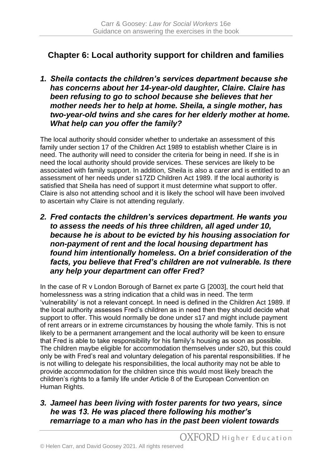## **Chapter 6: Local authority support for children and families**

*1. Sheila contacts the children's services department because she has concerns about her 14-year-old daughter, Claire. Claire has been refusing to go to school because she believes that her mother needs her to help at home. Sheila, a single mother, has two-year-old twins and she cares for her elderly mother at home. What help can you offer the family?*

The local authority should consider whether to undertake an assessment of this family under section 17 of the Children Act 1989 to establish whether Claire is in need. The authority will need to consider the criteria for being in need. If she is in need the local authority should provide services. These services are likely to be associated with family support. In addition, Sheila is also a carer and is entitled to an assessment of her needs under s17ZD Children Act 1989. If the local authority is satisfied that Sheila has need of support it must determine what support to offer. Claire is also not attending school and it is likely the school will have been involved to ascertain why Claire is not attending regularly.

*2. Fred contacts the children's services department. He wants you to assess the needs of his three children, all aged under 10, because he is about to be evicted by his housing association for non-payment of rent and the local housing department has found him intentionally homeless. On a brief consideration of the facts, you believe that Fred's children are not vulnerable. Is there any help your department can offer Fred?*

In the case of R v London Borough of Barnet ex parte G [2003], the court held that homelessness was a string indication that a child was in need. The term 'vulnerability' is not a relevant concept. In need is defined in the Children Act 1989. If the local authority assesses Fred's children as in need then they should decide what support to offer. This would normally be done under s17 and might include payment of rent arrears or in extreme circumstances by housing the whole family. This is not likely to be a permanent arrangement and the local authority will be keen to ensure that Fred is able to take responsibility for his family's housing as soon as possible. The children maybe eligible for accommodation themselves under s20, but this could only be with Fred's real and voluntary delegation of his parental responsibilities. If he is not willing to delegate his responsibilities, the local authority may not be able to provide accommodation for the children since this would most likely breach the children's rights to a family life under Article 8 of the European Convention on Human Rights.

*3. Jameel has been living with foster parents for two years, since he was 13. He was placed there following his mother's remarriage to a man who has in the past been violent towards*